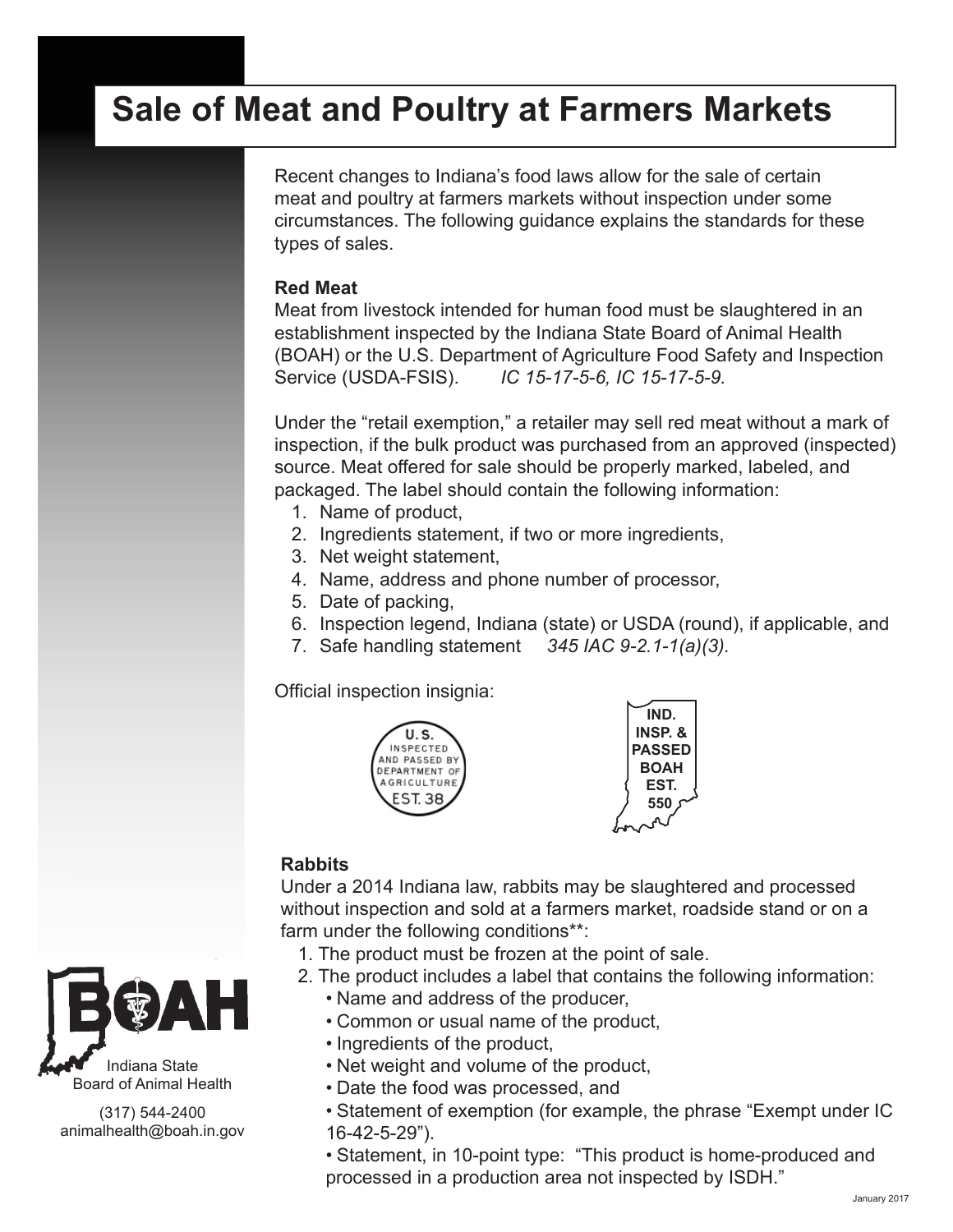# **Sale of Meat and Poultry at Farmers Markets**

Recent changes to Indiana's food laws allow for the sale of certain meat and poultry at farmers markets without inspection under some circumstances. The following guidance explains the standards for these types of sales.

#### **Red Meat**

Meat from livestock intended for human food must be slaughtered in an establishment inspected by the Indiana State Board of Animal Health (BOAH) or the U.S. Department of Agriculture Food Safety and Inspection Service (USDA-FSIS). *IC 15-17-5-6, IC 15-17-5-9.*

Under the "retail exemption," a retailer may sell red meat without a mark of inspection, if the bulk product was purchased from an approved (inspected) source. Meat offered for sale should be properly marked, labeled, and packaged. The label should contain the following information:

- 1. Name of product,
- 2. Ingredients statement, if two or more ingredients,
- 3. Net weight statement,
- 4. Name, address and phone number of processor,
- 5. Date of packing,
- 6. Inspection legend, Indiana (state) or USDA (round), if applicable, and
- 7. Safe handling statement *345 IAC 9-2.1-1(a)(3).*

Official inspection insignia:





### **Rabbits**

Under a 2014 Indiana law, rabbits may be slaughtered and processed without inspection and sold at a farmers market, roadside stand or on a farm under the following conditions\*\*:

- 1. The product must be frozen at the point of sale.
- 2. The product includes a label that contains the following information:
	- Name and address of the producer,
	- Common or usual name of the product,
	- Ingredients of the product,
	- Net weight and volume of the product,
	- Date the food was processed, and
	- Statement of exemption (for example, the phrase "Exempt under IC 16-42-5-29").

• Statement, in 10-point type: "This product is home-produced and processed in a production area not inspected by ISDH."



Indiana State Board of Animal Health

(317) 544-2400 animalhealth@boah.in.gov